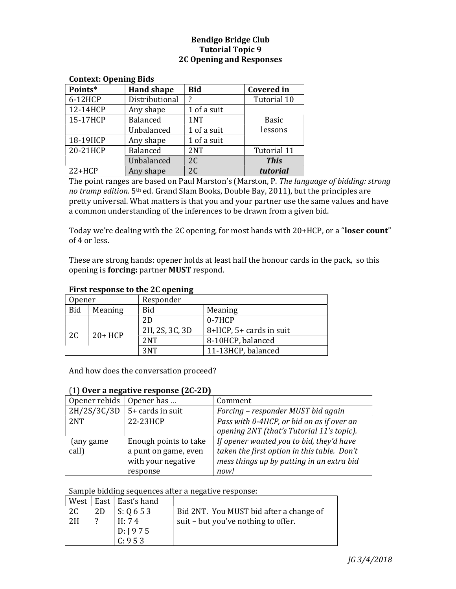## Bendigo Bridge Club Tutorial Topic 9 2C Opening and Responses

| CONCEAL: OPENING DIUS |                     |             |                   |
|-----------------------|---------------------|-------------|-------------------|
| Points*               | <b>Hand shape</b>   | <b>Bid</b>  | <b>Covered</b> in |
| 6-12HCP               | Distributional<br>2 |             | Tutorial 10       |
| 12-14HCP              | Any shape           | 1 of a suit |                   |
| 15-17HCP              | <b>Balanced</b>     | 1NT         | <b>Basic</b>      |
|                       | Unbalanced          | 1 of a suit | lessons           |
| 18-19HCP              | Any shape           | 1 of a suit |                   |
| 20-21HCP              | <b>Balanced</b>     | 2NT         | Tutorial 11       |
|                       | Unbalanced          | 2C          | <b>This</b>       |
| $22+HCP$              | Any shape           | 2C          | tutorial          |

### Context: Opening Bids

The point ranges are based on Paul Marston's (Marston, P. The language of bidding: strong no trump edition. 5th ed. Grand Slam Books, Double Bay, 2011), but the principles are pretty universal. What matters is that you and your partner use the same values and have a common understanding of the inferences to be drawn from a given bid.

Today we're dealing with the 2C opening, for most hands with 20+HCP, or a "loser count" of 4 or less.

These are strong hands: opener holds at least half the honour cards in the pack, so this opening is forcing: partner MUST respond.

| THRU I CSDOMSC to the 2G ODCHINE |          |                |                         |
|----------------------------------|----------|----------------|-------------------------|
| Opener                           |          | Responder      |                         |
| <b>Bid</b>                       | Meaning  | Bid            | Meaning                 |
| 2C                               | $20+HCP$ | 2D             | $0-7HCP$                |
|                                  |          | 2H, 2S, 3C, 3D | 8+HCP, 5+ cards in suit |
|                                  |          | 2NT            | 8-10HCP, balanced       |
|                                  |          | 3NT            | 11-13HCP, balanced      |

### First response to the 2C opening

And how does the conversation proceed?

### (1) Over a negative response (2C-2D)

| Opener rebids | Opener has            | Comment                                     |
|---------------|-----------------------|---------------------------------------------|
| 2H/2S/3C/3D   | 5+ cards in suit      | Forcing - responder MUST bid again          |
| 2NT           | 22-23HCP              | Pass with 0-4HCP, or bid on as if over an   |
|               |                       | opening 2NT (that's Tutorial 11's topic).   |
| (any game)    | Enough points to take | If opener wanted you to bid, they'd have    |
| call)         | a punt on game, even  | taken the first option in this table. Don't |
|               | with your negative    | mess things up by putting in an extra bid   |
|               | response              | now!                                        |

#### Sample bidding sequences after a negative response:

| West ' |    | East   East's hand |                                         |
|--------|----|--------------------|-----------------------------------------|
| 2C     | 2D | $\vert$ S: Q 6 5 3 | Bid 2NT. You MUST bid after a change of |
| 2H     |    | H: 74              | suit – but you've nothing to offer.     |
|        |    | D: J975            |                                         |
|        |    | C: 953             |                                         |